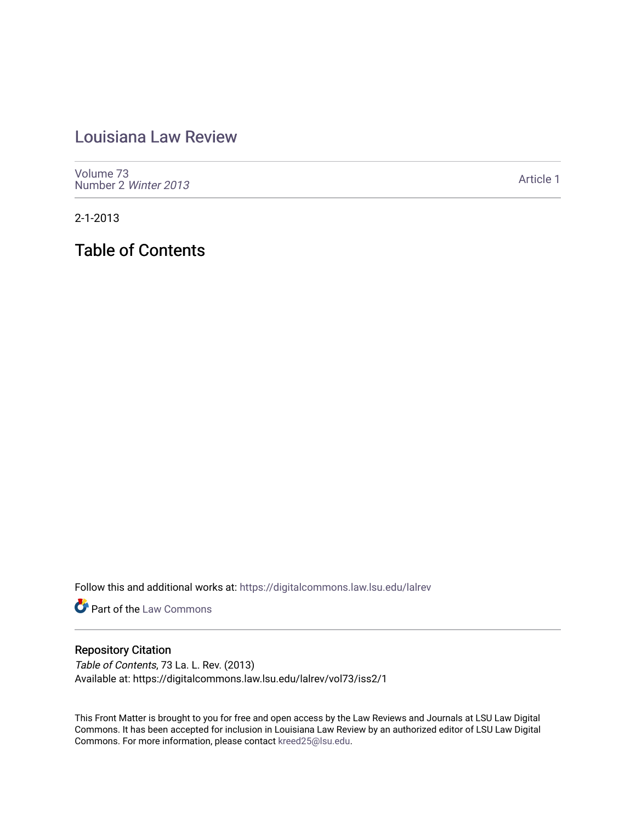## [Louisiana Law Review](https://digitalcommons.law.lsu.edu/lalrev)

[Volume 73](https://digitalcommons.law.lsu.edu/lalrev/vol73) [Number 2](https://digitalcommons.law.lsu.edu/lalrev/vol73/iss2) Winter 2013

[Article 1](https://digitalcommons.law.lsu.edu/lalrev/vol73/iss2/1) 

2-1-2013

Table of Contents

Follow this and additional works at: [https://digitalcommons.law.lsu.edu/lalrev](https://digitalcommons.law.lsu.edu/lalrev?utm_source=digitalcommons.law.lsu.edu%2Flalrev%2Fvol73%2Fiss2%2F1&utm_medium=PDF&utm_campaign=PDFCoverPages)

**Part of the [Law Commons](http://network.bepress.com/hgg/discipline/578?utm_source=digitalcommons.law.lsu.edu%2Flalrev%2Fvol73%2Fiss2%2F1&utm_medium=PDF&utm_campaign=PDFCoverPages)** 

### Repository Citation

Table of Contents, 73 La. L. Rev. (2013) Available at: https://digitalcommons.law.lsu.edu/lalrev/vol73/iss2/1

This Front Matter is brought to you for free and open access by the Law Reviews and Journals at LSU Law Digital Commons. It has been accepted for inclusion in Louisiana Law Review by an authorized editor of LSU Law Digital Commons. For more information, please contact [kreed25@lsu.edu](mailto:kreed25@lsu.edu).